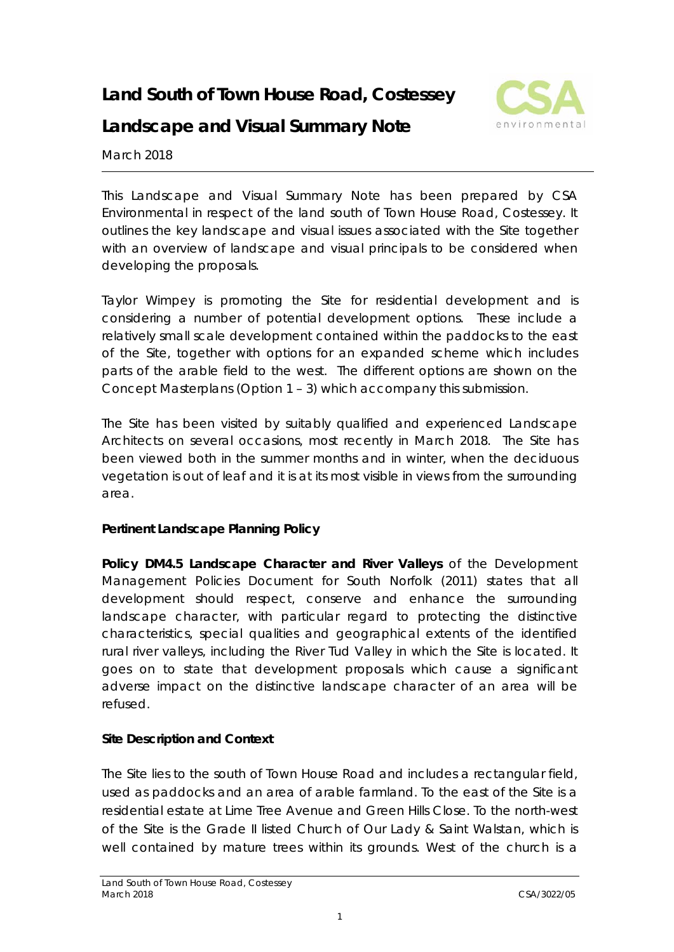# **Land South of Town House Road, Costessey**



# **Landscape and Visual Summary Note**

March 2018

This Landscape and Visual Summary Note has been prepared by CSA Environmental in respect of the land south of Town House Road, Costessey. It outlines the key landscape and visual issues associated with the Site together with an overview of landscape and visual principals to be considered when developing the proposals.

Taylor Wimpey is promoting the Site for residential development and is considering a number of potential development options. These include a relatively small scale development contained within the paddocks to the east of the Site, together with options for an expanded scheme which includes parts of the arable field to the west. The different options are shown on the Concept Masterplans (Option 1 – 3) which accompany this submission.

The Site has been visited by suitably qualified and experienced Landscape Architects on several occasions, most recently in March 2018. The Site has been viewed both in the summer months and in winter, when the deciduous vegetation is out of leaf and it is at its most visible in views from the surrounding area.

#### **Pertinent Landscape Planning Policy**

**Policy DM4.5 Landscape Character and River Valleys** of the Development Management Policies Document for South Norfolk (2011) states that all development should respect, conserve and enhance the surrounding landscape character, with particular regard to protecting the distinctive characteristics, special qualities and geographical extents of the identified rural river valleys, including the River Tud Valley in which the Site is located. It goes on to state that development proposals which cause a significant adverse impact on the distinctive landscape character of an area will be refused.

# **Site Description and Context**

The Site lies to the south of Town House Road and includes a rectangular field, used as paddocks and an area of arable farmland. To the east of the Site is a residential estate at Lime Tree Avenue and Green Hills Close. To the north-west of the Site is the Grade II listed Church of Our Lady & Saint Walstan, which is well contained by mature trees within its grounds. West of the church is a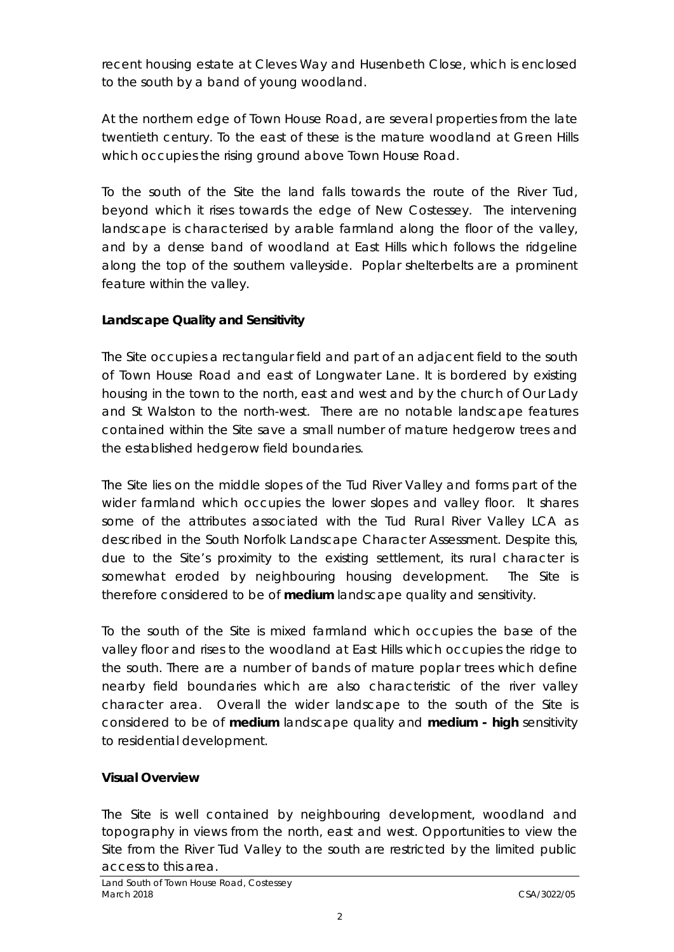recent housing estate at Cleves Way and Husenbeth Close, which is enclosed to the south by a band of young woodland.

At the northern edge of Town House Road, are several properties from the late twentieth century. To the east of these is the mature woodland at Green Hills which occupies the rising ground above Town House Road.

To the south of the Site the land falls towards the route of the River Tud, beyond which it rises towards the edge of New Costessey. The intervening landscape is characterised by arable farmland along the floor of the valley, and by a dense band of woodland at East Hills which follows the ridgeline along the top of the southern valleyside. Poplar shelterbelts are a prominent feature within the valley.

# **Landscape Quality and Sensitivity**

The Site occupies a rectangular field and part of an adjacent field to the south of Town House Road and east of Longwater Lane. It is bordered by existing housing in the town to the north, east and west and by the church of Our Lady and St Walston to the north-west. There are no notable landscape features contained within the Site save a small number of mature hedgerow trees and the established hedgerow field boundaries.

The Site lies on the middle slopes of the Tud River Valley and forms part of the wider farmland which occupies the lower slopes and valley floor. It shares some of the attributes associated with the Tud Rural River Valley LCA as described in the South Norfolk Landscape Character Assessment. Despite this, due to the Site's proximity to the existing settlement, its rural character is somewhat eroded by neighbouring housing development. The Site is therefore considered to be of **medium** landscape quality and sensitivity.

To the south of the Site is mixed farmland which occupies the base of the valley floor and rises to the woodland at East Hills which occupies the ridge to the south. There are a number of bands of mature poplar trees which define nearby field boundaries which are also characteristic of the river valley character area. Overall the wider landscape to the south of the Site is considered to be of **medium** landscape quality and **medium - high** sensitivity to residential development.

# **Visual Overview**

The Site is well contained by neighbouring development, woodland and topography in views from the north, east and west. Opportunities to view the Site from the River Tud Valley to the south are restricted by the limited public access to this area.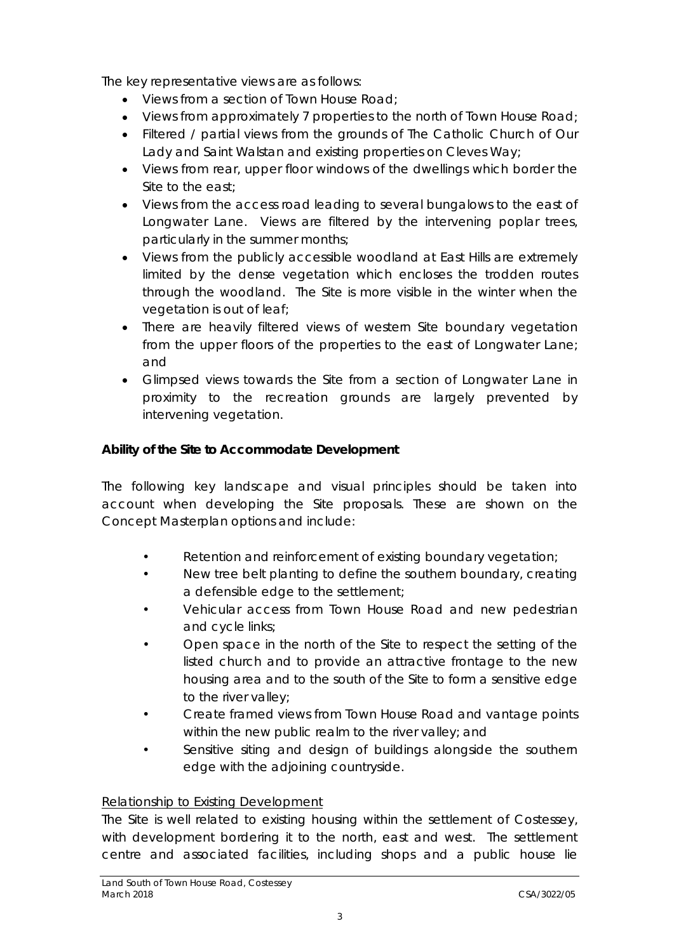The key representative views are as follows:

- Views from a section of Town House Road:
- Views from approximately 7 properties to the north of Town House Road;
- Filtered / partial views from the grounds of The Catholic Church of Our Lady and Saint Walstan and existing properties on Cleves Way;
- Views from rear, upper floor windows of the dwellings which border the Site to the east;
- Views from the access road leading to several bungalows to the east of Longwater Lane. Views are filtered by the intervening poplar trees, particularly in the summer months;
- Views from the publicly accessible woodland at East Hills are extremely limited by the dense vegetation which encloses the trodden routes through the woodland. The Site is more visible in the winter when the vegetation is out of leaf;
- There are heavily filtered views of western Site boundary vegetation from the upper floors of the properties to the east of Longwater Lane; and
- Glimpsed views towards the Site from a section of Longwater Lane in proximity to the recreation grounds are largely prevented by intervening vegetation.

#### **Ability of the Site to Accommodate Development**

The following key landscape and visual principles should be taken into account when developing the Site proposals. These are shown on the Concept Masterplan options and include:

- Retention and reinforcement of existing boundary vegetation;
- New tree belt planting to define the southern boundary, creating a defensible edge to the settlement;
- Vehicular access from Town House Road and new pedestrian and cycle links;
- Open space in the north of the Site to respect the setting of the listed church and to provide an attractive frontage to the new housing area and to the south of the Site to form a sensitive edge to the river valley;
- Create framed views from Town House Road and vantage points within the new public realm to the river valley; and
- Sensitive siting and design of buildings alongside the southern edge with the adjoining countryside.

#### Relationship to Existing Development

The Site is well related to existing housing within the settlement of Costessey, with development bordering it to the north, east and west. The settlement centre and associated facilities, including shops and a public house lie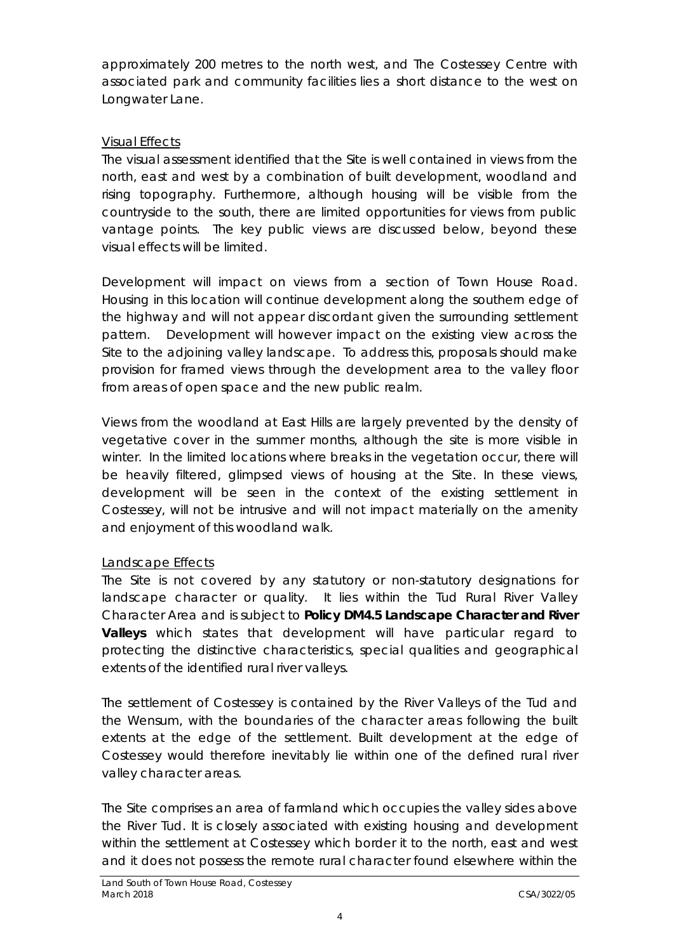approximately 200 metres to the north west, and The Costessey Centre with associated park and community facilities lies a short distance to the west on Longwater Lane.

### Visual Effects

The visual assessment identified that the Site is well contained in views from the north, east and west by a combination of built development, woodland and rising topography. Furthermore, although housing will be visible from the countryside to the south, there are limited opportunities for views from public vantage points. The key public views are discussed below, beyond these visual effects will be limited.

Development will impact on views from a section of Town House Road. Housing in this location will continue development along the southern edge of the highway and will not appear discordant given the surrounding settlement pattern. Development will however impact on the existing view across the Site to the adjoining valley landscape. To address this, proposals should make provision for framed views through the development area to the valley floor from areas of open space and the new public realm.

Views from the woodland at East Hills are largely prevented by the density of vegetative cover in the summer months, although the site is more visible in winter. In the limited locations where breaks in the vegetation occur, there will be heavily filtered, glimpsed views of housing at the Site. In these views, development will be seen in the context of the existing settlement in Costessey, will not be intrusive and will not impact materially on the amenity and enjoyment of this woodland walk.

# Landscape Effects

The Site is not covered by any statutory or non-statutory designations for landscape character or quality. It lies within the Tud Rural River Valley Character Area and is subject to **Policy DM4.5 Landscape Character and River Valleys** which states that development will have particular regard to protecting the distinctive characteristics, special qualities and geographical extents of the identified rural river valleys.

The settlement of Costessey is contained by the River Valleys of the Tud and the Wensum, with the boundaries of the character areas following the built extents at the edge of the settlement. Built development at the edge of Costessey would therefore inevitably lie within one of the defined rural river valley character areas.

The Site comprises an area of farmland which occupies the valley sides above the River Tud. It is closely associated with existing housing and development within the settlement at Costessey which border it to the north, east and west and it does not possess the remote rural character found elsewhere within the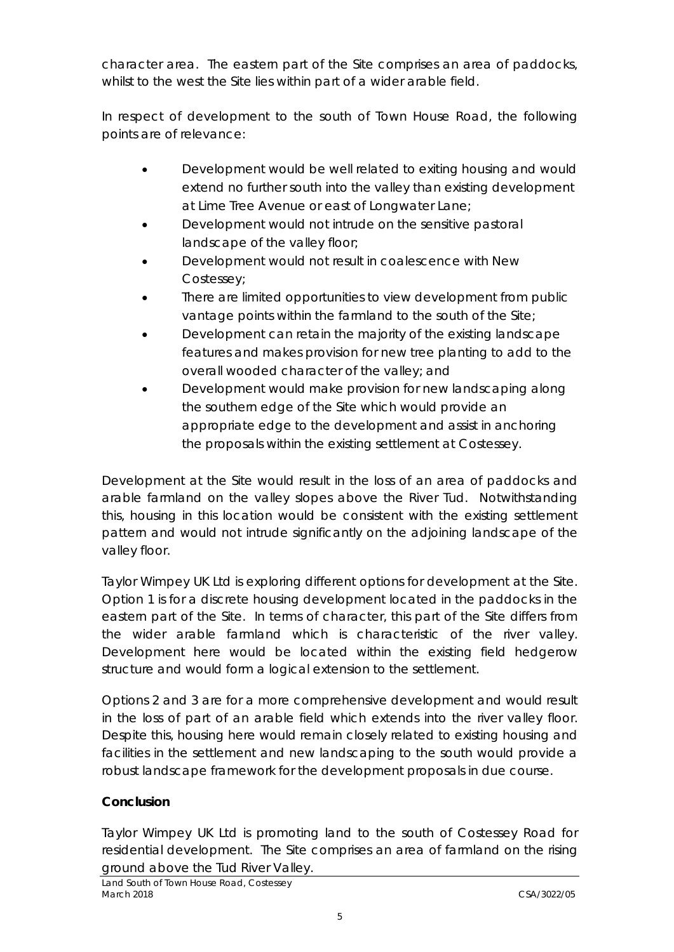character area. The eastern part of the Site comprises an area of paddocks, whilst to the west the Site lies within part of a wider arable field.

In respect of development to the south of Town House Road, the following points are of relevance:

- Development would be well related to exiting housing and would extend no further south into the valley than existing development at Lime Tree Avenue or east of Longwater Lane;
- Development would not intrude on the sensitive pastoral landscape of the valley floor;
- Development would not result in coalescence with New Costessey;
- There are limited opportunities to view development from public vantage points within the farmland to the south of the Site;
- Development can retain the majority of the existing landscape features and makes provision for new tree planting to add to the overall wooded character of the valley; and
- Development would make provision for new landscaping along the southern edge of the Site which would provide an appropriate edge to the development and assist in anchoring the proposals within the existing settlement at Costessey.

Development at the Site would result in the loss of an area of paddocks and arable farmland on the valley slopes above the River Tud. Notwithstanding this, housing in this location would be consistent with the existing settlement pattern and would not intrude significantly on the adjoining landscape of the valley floor.

Taylor Wimpey UK Ltd is exploring different options for development at the Site. Option 1 is for a discrete housing development located in the paddocks in the eastern part of the Site. In terms of character, this part of the Site differs from the wider arable farmland which is characteristic of the river valley. Development here would be located within the existing field hedgerow structure and would form a logical extension to the settlement.

Options 2 and 3 are for a more comprehensive development and would result in the loss of part of an arable field which extends into the river valley floor. Despite this, housing here would remain closely related to existing housing and facilities in the settlement and new landscaping to the south would provide a robust landscape framework for the development proposals in due course.

# **Conclusion**

Taylor Wimpey UK Ltd is promoting land to the south of Costessey Road for residential development. The Site comprises an area of farmland on the rising ground above the Tud River Valley.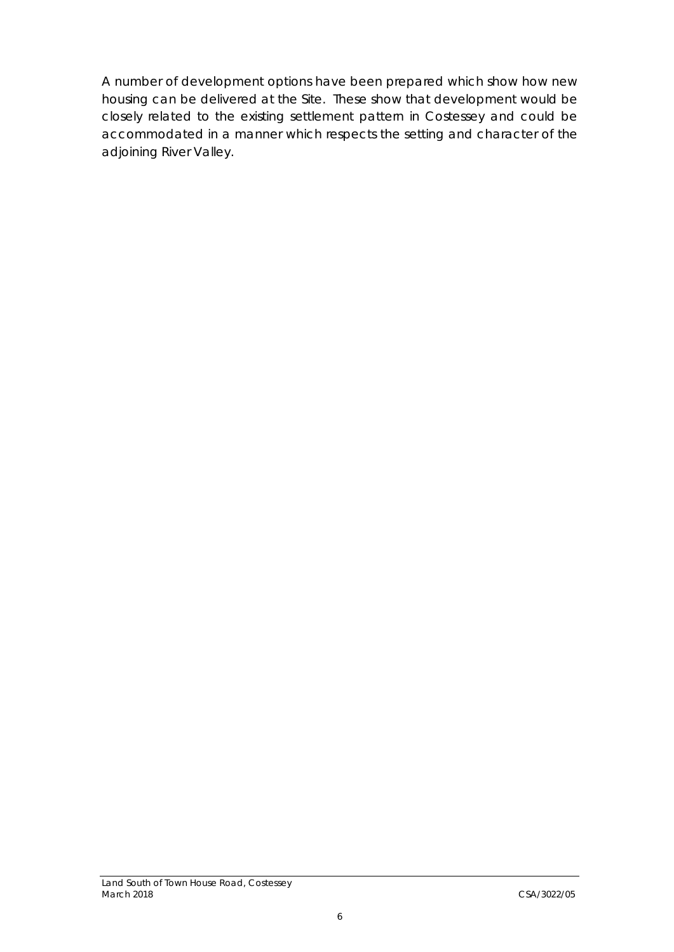A number of development options have been prepared which show how new housing can be delivered at the Site. These show that development would be closely related to the existing settlement pattern in Costessey and could be accommodated in a manner which respects the setting and character of the adjoining River Valley.